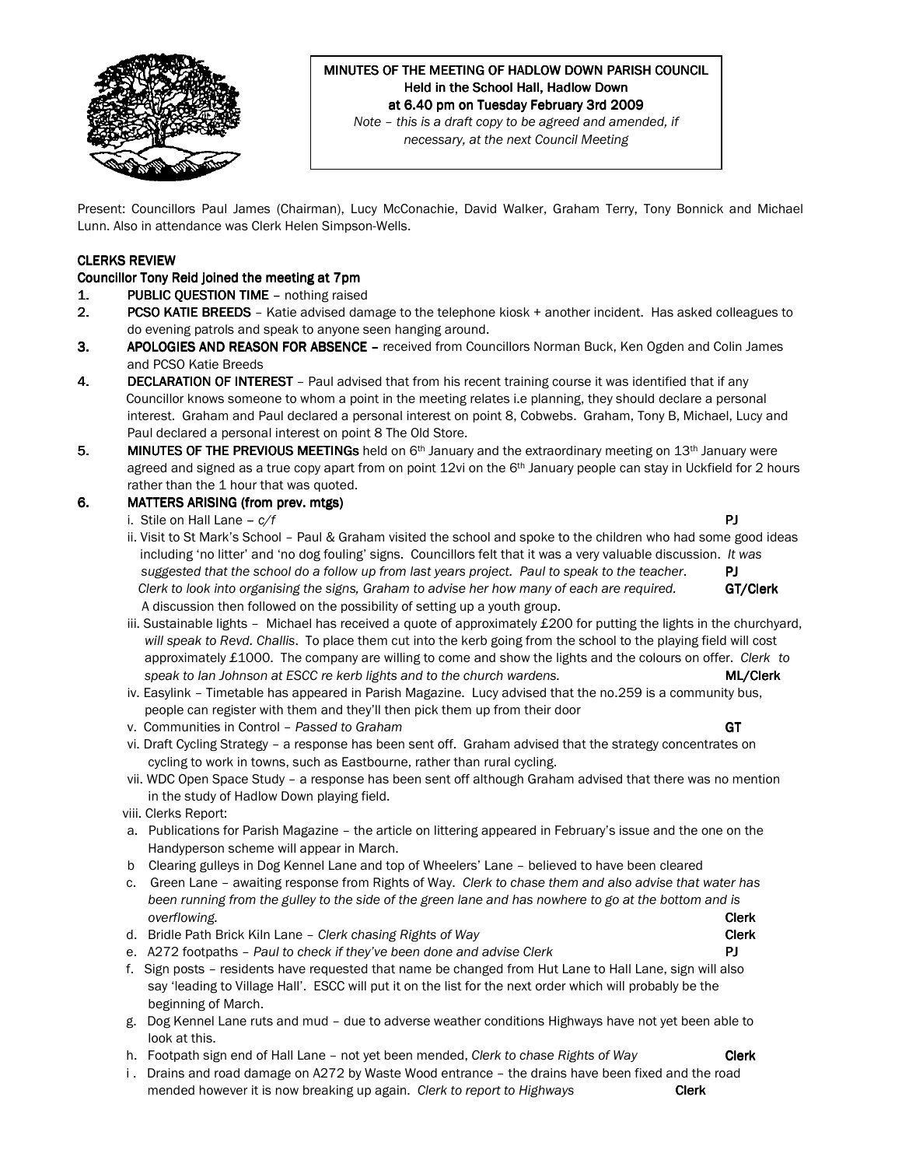

# MINUTES OF THE MEETING OF HADLOW DOWN PARISH COUNCIL Held in the School Hall, Hadlow Down at 6.40 pm on Tuesday February 3rd 2009

Note – this is a draft copy to be agreed and amended, if necessary, at the next Council Meeting

Present: Councillors Paul James (Chairman), Lucy McConachie, David Walker, Graham Terry, Tony Bonnick and Michael Lunn. Also in attendance was Clerk Helen Simpson-Wells.

#### CLERKS REVIEW

### Councillor Tony Reid joined the meeting at 7pm

- 1. **PUBLIC QUESTION TIME -** nothing raised
- 2. PCSO KATIE BREEDS Katie advised damage to the telephone kiosk + another incident. Has asked colleagues to do evening patrols and speak to anyone seen hanging around.
- 3. APOLOGIES AND REASON FOR ABSENCE received from Councillors Norman Buck, Ken Ogden and Colin James and PCSO Katie Breeds
- 4. DECLARATION OF INTEREST Paul advised that from his recent training course it was identified that if any Councillor knows someone to whom a point in the meeting relates i.e planning, they should declare a personal interest. Graham and Paul declared a personal interest on point 8, Cobwebs. Graham, Tony B, Michael, Lucy and Paul declared a personal interest on point 8 The Old Store.
- 5. MINUTES OF THE PREVIOUS MEETINGs held on  $6<sup>th</sup>$  January and the extraordinary meeting on 13<sup>th</sup> January were agreed and signed as a true copy apart from on point 12vi on the 6<sup>th</sup> January people can stay in Uckfield for 2 hours rather than the 1 hour that was quoted.

#### 6. MATTERS ARISING (from prev. mtgs)

i. Stile on Hall Lane –  $c/f$  **PJ** 

 ii. Visit to St Mark's School – Paul & Graham visited the school and spoke to the children who had some good ideas including 'no litter' and 'no dog fouling' signs. Councillors felt that it was a very valuable discussion. It was suggested that the school do a follow up from last years project. Paul to speak to the teacher.  $\blacksquare$ Clerk to look into organising the signs, Graham to advise her how many of each are required. GT/Clerk A discussion then followed on the possibility of setting up a youth group.

- iii. Sustainable lights Michael has received a quote of approximately £200 for putting the lights in the churchyard, will speak to Revd. Challis. To place them cut into the kerb going from the school to the playing field will cost approximately £1000. The company are willing to come and show the lights and the colours on offer. Clerk to speak to Ian Johnson at ESCC re kerb lights and to the church wardens. MEXICLER MEXICLER
- iv. Easylink Timetable has appeared in Parish Magazine. Lucy advised that the no.259 is a community bus, people can register with them and they'll then pick them up from their door
- v. Communities in Control Passed to Graham GT
- vi. Draft Cycling Strategy a response has been sent off. Graham advised that the strategy concentrates on cycling to work in towns, such as Eastbourne, rather than rural cycling.
- vii. WDC Open Space Study a response has been sent off although Graham advised that there was no mention in the study of Hadlow Down playing field.
- viii. Clerks Report:
- a. Publications for Parish Magazine the article on littering appeared in February's issue and the one on the Handyperson scheme will appear in March.
- b Clearing gulleys in Dog Kennel Lane and top of Wheelers' Lane believed to have been cleared
- c. Green Lane awaiting response from Rights of Way. Clerk to chase them and also advise that water has been running from the gulley to the side of the green lane and has nowhere to go at the bottom and is overflowing. **Clerk** the contract of the contract of the contract of the contract of the contract of the contract of the contract of the contract of the contract of the contract of the contract of the contract of the contr
- d. Bridle Path Brick Kiln Lane Clerk chasing Rights of Way Castle Clerk Clerk
- e.  $A272$  footpaths Paul to check if they've been done and advise Clerk  $PI$
- f. Sign posts residents have requested that name be changed from Hut Lane to Hall Lane, sign will also say 'leading to Village Hall'. ESCC will put it on the list for the next order which will probably be the beginning of March.
- g. Dog Kennel Lane ruts and mud due to adverse weather conditions Highways have not yet been able to look at this.
- h. Footpath sign end of Hall Lane not yet been mended, Clerk to chase Rights of Way Clerk
- i . Drains and road damage on A272 by Waste Wood entrance the drains have been fixed and the road mended however it is now breaking up again. Clerk to report to Highways **Clerk**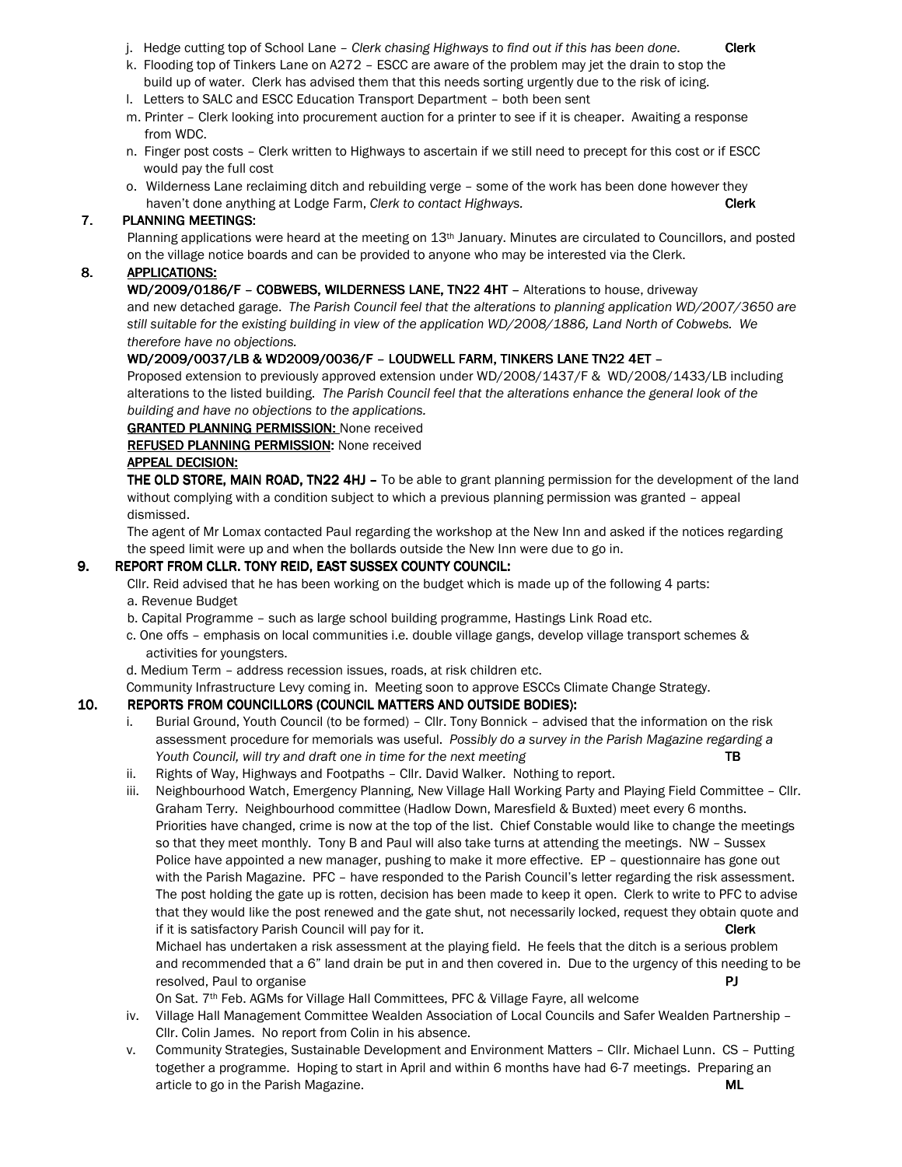- j. Hedge cutting top of School Lane Clerk chasing Highways to find out if this has been done. Clerk
- k. Flooding top of Tinkers Lane on A272 ESCC are aware of the problem may jet the drain to stop the build up of water. Clerk has advised them that this needs sorting urgently due to the risk of icing.
- l. Letters to SALC and ESCC Education Transport Department both been sent
- m. Printer Clerk looking into procurement auction for a printer to see if it is cheaper. Awaiting a response from WDC.
- n. Finger post costs Clerk written to Highways to ascertain if we still need to precept for this cost or if ESCC would pay the full cost
- o. Wilderness Lane reclaiming ditch and rebuilding verge some of the work has been done however they haven't done anything at Lodge Farm, Clerk to contact Highways. Clerk Clerk Clerk

### 7. PLANNING MEETINGS:

Planning applications were heard at the meeting on 13th January. Minutes are circulated to Councillors, and posted on the village notice boards and can be provided to anyone who may be interested via the Clerk.

## 8. APPLICATIONS:

WD/2009/0186/F - COBWEBS, WILDERNESS LANE, TN22 4HT - Alterations to house, driveway

 and new detached garage. The Parish Council feel that the alterations to planning application WD/2007/3650 are still suitable for the existing building in view of the application WD/2008/1886, Land North of Cobwebs. We therefore have no objections.

## WD/2009/0037/LB & WD2009/0036/F - LOUDWELL FARM, TINKERS LANE TN22 4ET -

Proposed extension to previously approved extension under WD/2008/1437/F & WD/2008/1433/LB including alterations to the listed building. The Parish Council feel that the alterations enhance the general look of the building and have no objections to the applications.

**GRANTED PLANNING PERMISSION: None received** 

REFUSED PLANNING PERMISSION: None received

## APPEAL DECISION: APPEAL DECISION:

THE OLD STORE, MAIN ROAD, TN22 4HJ - To be able to grant planning permission for the development of the land without complying with a condition subject to which a previous planning permission was granted – appeal dismissed.

The agent of Mr Lomax contacted Paul regarding the workshop at the New Inn and asked if the notices regarding the speed limit were up and when the bollards outside the New Inn were due to go in.

#### 9. REPORT FROM CLLR. TONY REID, EAST SUSSEX COUNTY COUNCIL:

Cllr. Reid advised that he has been working on the budget which is made up of the following 4 parts: a. Revenue Budget

- b. Capital Programme such as large school building programme, Hastings Link Road etc.
- c. One offs emphasis on local communities i.e. double village gangs, develop village transport schemes & activities for youngsters.
- d. Medium Term address recession issues, roads, at risk children etc.

Community Infrastructure Levy coming in. Meeting soon to approve ESCCs Climate Change Strategy.

## 10. REPORTS FROM COUNCILLORS (COUNCIL MATTERS AND OUTSIDE BODIES):

- i. Burial Ground, Youth Council (to be formed) Cllr. Tony Bonnick advised that the information on the risk assessment procedure for memorials was useful. Possibly do a survey in the Parish Magazine regarding a Youth Council, will try and draft one in time for the next meeting TB
- ii. Rights of Way, Highways and Footpaths Cllr. David Walker. Nothing to report.
- iii. Neighbourhood Watch, Emergency Planning, New Village Hall Working Party and Playing Field Committee Cllr. Graham Terry. Neighbourhood committee (Hadlow Down, Maresfield & Buxted) meet every 6 months. Priorities have changed, crime is now at the top of the list. Chief Constable would like to change the meetings so that they meet monthly. Tony B and Paul will also take turns at attending the meetings. NW – Sussex Police have appointed a new manager, pushing to make it more effective. EP – questionnaire has gone out with the Parish Magazine. PFC – have responded to the Parish Council's letter regarding the risk assessment. The post holding the gate up is rotten, decision has been made to keep it open. Clerk to write to PFC to advise that they would like the post renewed and the gate shut, not necessarily locked, request they obtain quote and if it is satisfactory Parish Council will pay for it. Clerk and the control of the clerk clerk

Michael has undertaken a risk assessment at the playing field. He feels that the ditch is a serious problem and recommended that a 6" land drain be put in and then covered in. Due to the urgency of this needing to be resolved, Paul to organise **PJ** and the property of the part of the part of the part of the part of the part of the part of the part of the part of the part of the part of the part of the part of the part of the part of th

On Sat. 7th Feb. AGMs for Village Hall Committees, PFC & Village Fayre, all welcome

- iv. Village Hall Management Committee Wealden Association of Local Councils and Safer Wealden Partnership Cllr. Colin James. No report from Colin in his absence.
- v. Community Strategies, Sustainable Development and Environment Matters Cllr. Michael Lunn. CS Putting together a programme. Hoping to start in April and within 6 months have had 6-7 meetings. Preparing an article to go in the Parish Magazine. Museum of the Second Museum of the Museum of the Museum of the Museum of the Museum of the Museum of the Museum of the Museum of the Museum of the Museum of the Museum of the Museum of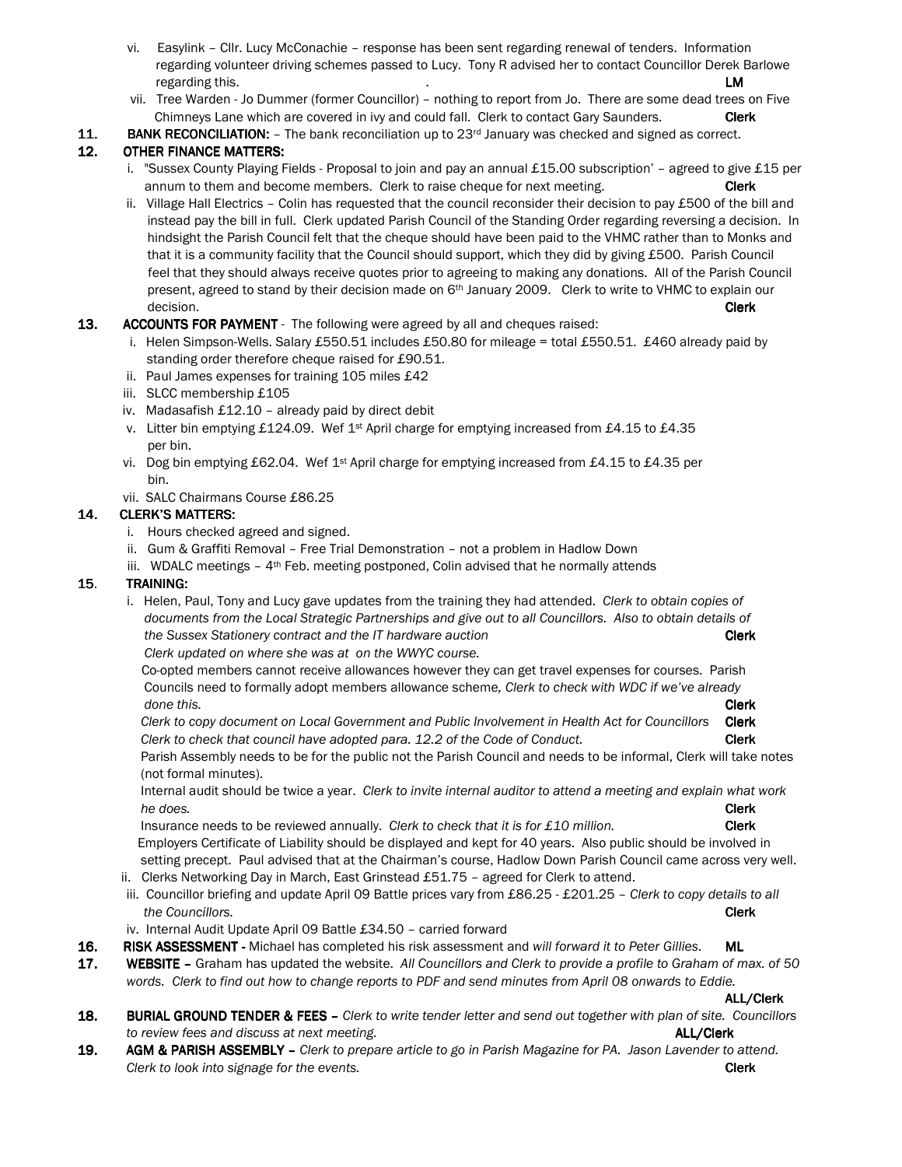- vi. Easylink Cllr. Lucy McConachie response has been sent regarding renewal of tenders. Information regarding volunteer driving schemes passed to Lucy. Tony R advised her to contact Councillor Derek Barlowe regarding this. **LM**
- vii. Tree Warden Jo Dummer (former Councillor) nothing to report from Jo. There are some dead trees on Five Chimneys Lane which are covered in ivy and could fall. Clerk to contact Gary Saunders. Clerk
- **11.** BANK RECONCILIATION:  $-$  The bank reconciliation up to 23 $\sigma$  January was checked and signed as correct.

# 12. OTHER FINANCE MATTERS:

- i. "Sussex County Playing Fields Proposal to join and pay an annual £15.00 subscription' agreed to give £15 per annum to them and become members. Clerk to raise cheque for next meeting. Clerk
- ii. Village Hall Electrics Colin has requested that the council reconsider their decision to pay £500 of the bill and instead pay the bill in full. Clerk updated Parish Council of the Standing Order regarding reversing a decision. In hindsight the Parish Council felt that the cheque should have been paid to the VHMC rather than to Monks and that it is a community facility that the Council should support, which they did by giving £500. Parish Council feel that they should always receive quotes prior to agreeing to making any donations. All of the Parish Council present, agreed to stand by their decision made on 6<sup>th</sup> January 2009. Clerk to write to VHMC to explain our decision. **Clerk** the contract of the contract of the contract of the contract of the contract of the contract of the contract of the contract of the contract of the contract of the contract of the contract of the contract
- 13. ACCOUNTS FOR PAYMENT The following were agreed by all and cheques raised:
	- i. Helen Simpson-Wells. Salary £550.51 includes £50.80 for mileage = total £550.51. £460 already paid by standing order therefore cheque raised for £90.51.
	- ii. Paul James expenses for training 105 miles £42
	- iii. SLCC membership £105
	- iv. Madasafish £12.10 already paid by direct debit
	- v. Litter bin emptying £124.09. Wef 1<sup>st</sup> April charge for emptying increased from £4.15 to £4.35 per bin.
	- vi. Dog bin emptying £62.04. Wef 1<sup>st</sup> April charge for emptying increased from £4.15 to £4.35 per bin.
	- vii. SALC Chairmans Course £86.25

# 14. CLERK'S MATTERS:

- i. Hours checked agreed and signed.
- ii. Gum & Graffiti Removal Free Trial Demonstration not a problem in Hadlow Down
- iii. WDALC meetings  $-4$ <sup>th</sup> Feb. meeting postponed, Colin advised that he normally attends

# 15. TRAINING:

i. Helen, Paul, Tony and Lucy gave updates from the training they had attended. Clerk to obtain copies of documents from the Local Strategic Partnerships and give out to all Councillors. Also to obtain details of the Sussex Stationery contract and the IT hardware auction Clerk Clerk Clerk Clerk updated on where she was at on the WWYC course.

Co-opted members cannot receive allowances however they can get travel expenses for courses. Parish Councils need to formally adopt members allowance scheme, Clerk to check with WDC if we've already

done this. **Clerk** Clerk to copy document on Local Government and Public Involvement in Health Act for Councillors Clerk Clerk to check that council have adopted para. 12.2 of the Code of Conduct. Clerk

 Parish Assembly needs to be for the public not the Parish Council and needs to be informal, Clerk will take notes (not formal minutes).

 Internal audit should be twice a year. Clerk to invite internal auditor to attend a meeting and explain what work he does. **Clerk** and the does a structure of the does not the does not the does not the does not the does not the does not the does not the does not the does not the does not the does not the does not the does not the does

Insurance needs to be reviewed annually. Clerk to check that it is for  $£10$  million. Clerk Employers Certificate of Liability should be displayed and kept for 40 years. Also public should be involved in setting precept. Paul advised that at the Chairman's course, Hadlow Down Parish Council came across very well.

- ii. Clerks Networking Day in March, East Grinstead  $£51.75$  agreed for Clerk to attend.
- iii. Councillor briefing and update April 09 Battle prices vary from £86.25 £201.25 Clerk to copy details to all the Councillors. **Clerk**
- iv. Internal Audit Update April 09 Battle £34.50 carried forward
- 16. RISK ASSESSMENT Michael has completed his risk assessment and will forward it to Peter Gillies. ML
- 17. WEBSITE Graham has updated the website. All Councillors and Clerk to provide a profile to Graham of max. of 50 words. Clerk to find out how to change reports to PDF and send minutes from April 08 onwards to Eddie.

ALL/Clerk ALL/Clerk

- 18. BURIAL GROUND TENDER & FEES Clerk to write tender letter and send out together with plan of site. Councillors to review fees and discuss at next meeting. The same state of the state of the state of the ALL/Clerk
- 19. AGM & PARISH ASSEMBLY Clerk to prepare article to go in Parish Magazine for PA. Jason Lavender to attend. Clerk to look into signage for the events. Clerk contains the contact of the clerk contact of the events.